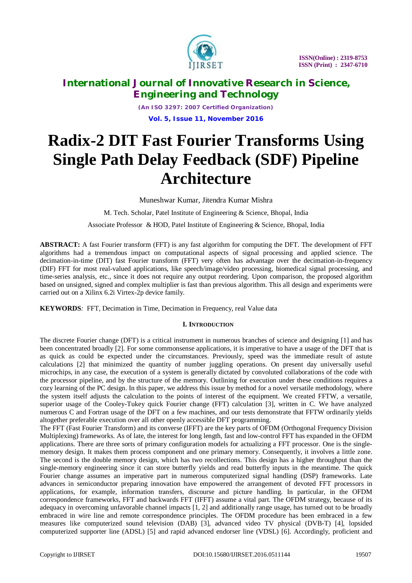

*(An ISO 3297: 2007 Certified Organization)* **Vol. 5, Issue 11, November 2016**

# **Radix-2 DIT Fast Fourier Transforms Using Single Path Delay Feedback (SDF) Pipeline Architecture**

Muneshwar Kumar, Jitendra Kumar Mishra

M. Tech. Scholar, Patel Institute of Engineering & Science, Bhopal, India

Associate Professor & HOD, Patel Institute of Engineering & Science, Bhopal, India

**ABSTRACT:** A fast Fourier transform (FFT) is any fast algorithm for computing the DFT. The development of FFT algorithms had a tremendous impact on computational aspects of signal processing and applied science. The decimation-in-time (DIT) fast Fourier transform (FFT) very often has advantage over the decimation-in-frequency (DIF) FFT for most real-valued applications, like speech/image/video processing, biomedical signal processing, and time-series analysis, etc., since it does not require any output reordering. Upon comparison, the proposed algorithm based on unsigned, signed and complex multiplier is fast than previous algorithm. This all design and experiments were carried out on a Xilinx 6.2i Virtex-2p device family.

**KEYWORDS***:* FFT, Decimation in Time, Decimation in Frequency, real Value data

#### **I. INTRODUCTION**

The discrete Fourier change (DFT) is a critical instrument in numerous branches of science and designing [1] and has been concentrated broadly [2]. For some commonsense applications, it is imperative to have a usage of the DFT that is as quick as could be expected under the circumstances. Previously, speed was the immediate result of astute calculations [2] that minimized the quantity of number juggling operations. On present day universally useful microchips, in any case, the execution of a system is generally dictated by convoluted collaborations of the code with the processor pipeline, and by the structure of the memory. Outlining for execution under these conditions requires a cozy learning of the PC design. In this paper, we address this issue by method for a novel versatile methodology, where the system itself adjusts the calculation to the points of interest of the equipment. We created FFTW, a versatile, superior usage of the Cooley-Tukey quick Fourier change (FFT) calculation [3], written in C. We have analyzed numerous C and Fortran usage of the DFT on a few machines, and our tests demonstrate that FFTW ordinarily yields altogether preferable execution over all other openly accessible DFT programming.

The FFT (Fast Fourier Transform) and its converse (IFFT) are the key parts of OFDM (Orthogonal Frequency Division Multiplexing) frameworks. As of late, the interest for long length, fast and low-control FFT has expanded in the OFDM applications. There are three sorts of primary configuration models for actualizing a FFT processor. One is the singlememory design. It makes them process component and one primary memory. Consequently, it involves a little zone. The second is the double memory design, which has two recollections. This design has a higher throughput than the single-memory engineering since it can store butterfly yields and read butterfly inputs in the meantime. The quick Fourier change assumes an imperative part in numerous computerized signal handling (DSP) frameworks. Late advances in semiconductor preparing innovation have empowered the arrangement of devoted FFT processors in applications, for example, information transfers, discourse and picture handling. In particular, in the OFDM correspondence frameworks, FFT and backwards FFT (IFFT) assume a vital part. The OFDM strategy, because of its adequacy in overcoming unfavorable channel impacts [1, 2] and additionally range usage, has turned out to be broadly embraced in wire line and remote correspondence principles. The OFDM procedure has been embraced in a few measures like computerized sound television (DAB) [3], advanced video TV physical (DVB-T) [4], lopsided computerized supporter line (ADSL) [5] and rapid advanced endorser line (VDSL) [6]. Accordingly, proficient and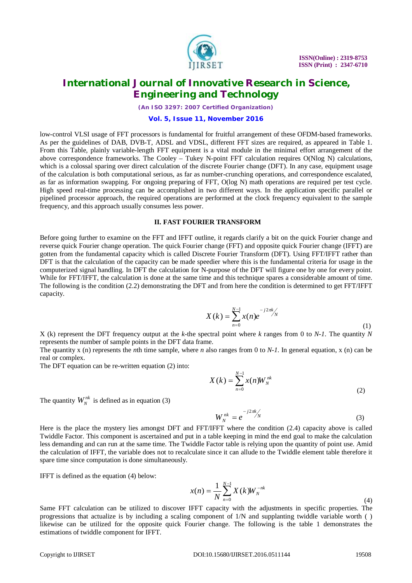

*(An ISO 3297: 2007 Certified Organization)*

#### **Vol. 5, Issue 11, November 2016**

low-control VLSI usage of FFT processors is fundamental for fruitful arrangement of these OFDM-based frameworks. As per the guidelines of DAB, DVB-T, ADSL and VDSL, different FFT sizes are required, as appeared in Table 1. From this Table, plainly variable-length FFT equipment is a vital module in the minimal effort arrangement of the above correspondence frameworks. The Cooley – Tukey N-point FFT calculation requires O(Nlog N) calculations, which is a colossal sparing over direct calculation of the discrete Fourier change (DFT). In any case, equipment usage of the calculation is both computational serious, as far as number-crunching operations, and correspondence escalated, as far as information swapping. For ongoing preparing of FFT, O(log N) math operations are required per test cycle. High speed real-time processing can be accomplished in two different ways. In the application specific parallel or pipelined processor approach, the required operations are performed at the clock frequency equivalent to the sample frequency, and this approach usually consumes less power.

#### **II. FAST FOURIER TRANSFORM**

Before going further to examine on the FFT and IFFT outline, it regards clarify a bit on the quick Fourier change and reverse quick Fourier change operation. The quick Fourier change (FFT) and opposite quick Fourier change (IFFT) are gotten from the fundamental capacity which is called Discrete Fourier Transform (DFT). Using FFT/IFFT rather than DFT is that the calculation of the capacity can be made speedier where this is the fundamental criteria for usage in the computerized signal handling. In DFT the calculation for N-purpose of the DFT will figure one by one for every point. While for FFT/IFFT, the calculation is done at the same time and this technique spares a considerable amount of time. The following is the condition (2.2) demonstrating the DFT and from here the condition is determined to get FFT/IFFT capacity.

$$
X(k) = \sum_{n=0}^{N-1} x(n)e^{-j2\pi k/N}
$$
 (1)

 $X$  (k) represent the DFT frequency output at the *k*-the spectral point where *k* ranges from 0 to *N-1*. The quantity *N* represents the number of sample points in the DFT data frame.

The quantity x (n) represents the *n*th time sample, where *n* also ranges from 0 to *N-1*. In general equation, x (n) can be real or complex.

The DFT equation can be re-written equation (2) into:

$$
X(k) = \sum_{n=0}^{N-1} x(n) W_N^{nk}
$$
 (2)

The quantity  $W_N^{nk}$  is defined as in equation (3)

$$
W_N^{nk} = e^{-j2\pi k/N}
$$
 (3)

Here is the place the mystery lies amongst DFT and FFT/IFFT where the condition (2.4) capacity above is called Twiddle Factor. This component is ascertained and put in a table keeping in mind the end goal to make the calculation less demanding and can run at the same time. The Twiddle Factor table is relying upon the quantity of point use. Amid the calculation of IFFT, the variable does not to recalculate since it can allude to the Twiddle element table therefore it spare time since computation is done simultaneously.

IFFT is defined as the equation (4) below:

$$
x(n) = \frac{1}{N} \sum_{n=0}^{N-1} X(k) W_N^{-nk}
$$
\n(4)

Same FFT calculation can be utilized to discover IFFT capacity with the adjustments in specific properties. The progressions that actualize is by including a scaling component of 1/N and supplanting twiddle variable worth ( ) likewise can be utilized for the opposite quick Fourier change. The following is the table 1 demonstrates the estimations of twiddle component for IFFT.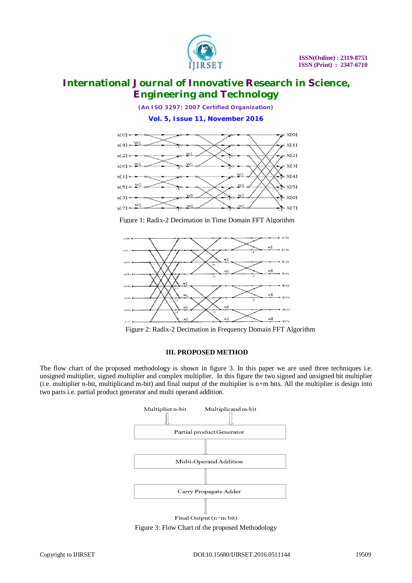

*(An ISO 3297: 2007 Certified Organization)*

**Vol. 5, Issue 11, November 2016**



Figure 1: Radix-2 Decimation in Time Domain FFT Algorithm



Figure 2: Radix-2 Decimation in Frequency Domain FFT Algorithm

#### **III. PROPOSED METHOD**

The flow chart of the proposed methodology is shown in figure 3. In this paper we are used three techniques i.e. unsigned multiplier, signed multiplier and complex multiplier. In this figure the two signed and unsigned bit multiplier (i.e. multiplier n-bit, multiplicand m-bit) and final output of the multiplier is n+m bits. All the multiplier is design into two parts i.e. partial product generator and multi operand addition.



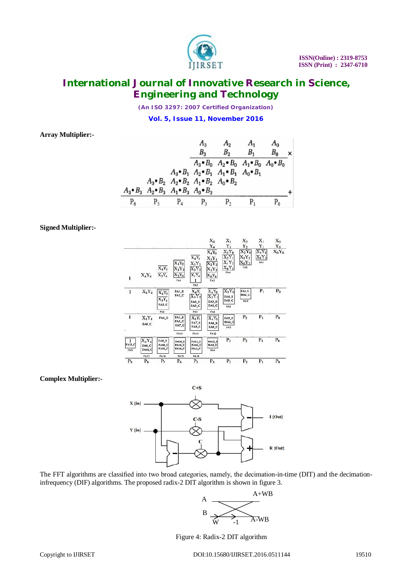

*(An ISO 3297: 2007 Certified Organization)* **Vol. 5, Issue 11, November 2016**

**Array Multiplier:-**

|       |                                                                         |         | $A_{3}$<br>$B_{3}$                                                      | $A_2$<br>B <sub>2</sub>                                                                                                                            | $A_1$<br>$B_1$ | $A_0$<br>$B_0$ |  |
|-------|-------------------------------------------------------------------------|---------|-------------------------------------------------------------------------|----------------------------------------------------------------------------------------------------------------------------------------------------|----------------|----------------|--|
|       |                                                                         |         |                                                                         | $A_3 \bullet B_0$ $A_2 \bullet B_0$ $A_1 \bullet B_0$ $A_0 \bullet B_0$<br>$A_3 \bullet B_1$ $A_2 \bullet B_1$ $A_1 \bullet B_1$ $A_0 \bullet B_1$ |                |                |  |
|       | $A_3 \bullet B_3$ $A_2 \bullet B_3$ $A_1 \bullet B_3$ $A_0 \bullet B_3$ |         | $A_3 \bullet B_2$ $A_2 \bullet B_2$ $A_1 \bullet B_2$ $A_0 \bullet B_2$ |                                                                                                                                                    |                |                |  |
| $P_6$ | $P_{5}$                                                                 | $P_{4}$ | P <sub>3</sub>                                                          | $P_{2}$                                                                                                                                            |                |                |  |

#### **Signed Multiplier:-**



#### **Complex Multiplier:-**



The FFT algorithms are classified into two broad categories, namely, the decimation-in-time (DIT) and the decimationinfrequency (DIF) algorithms. The proposed radix-2 DIT algorithm is shown in figure 3.



Figure 4: Radix-2 DIT algorithm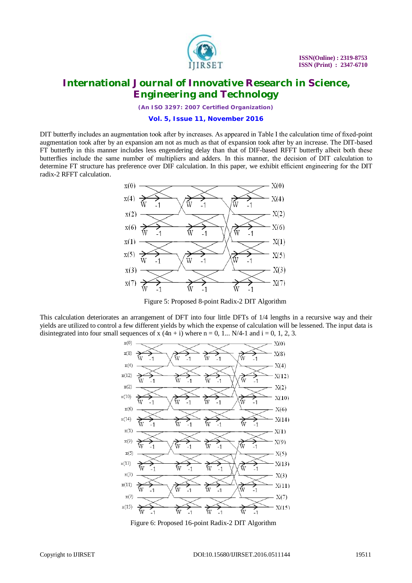

*(An ISO 3297: 2007 Certified Organization)*

**Vol. 5, Issue 11, November 2016**

DIT butterfly includes an augmentation took after by increases. As appeared in Table I the calculation time of fixed-point augmentation took after by an expansion am not as much as that of expansion took after by an increase. The DIT-based FT butterfly in this manner includes less engendering delay than that of DIF-based RFFT butterfly albeit both these butterflies include the same number of multipliers and adders. In this manner, the decision of DIT calculation to determine FT structure has preference over DIF calculation. In this paper, we exhibit efficient engineering for the DIT radix-2 RFFT calculation.



Figure 5: Proposed 8-point Radix-2 DIT Algorithm

This calculation deteriorates an arrangement of DFT into four little DFTs of 1/4 lengths in a recursive way and their yields are utilized to control a few different yields by which the expense of calculation will be lessened. The input data is disintegrated into four small sequences of x  $(4n + i)$  where n = 0, 1... N/4-1 and i = 0, 1, 2, 3.



Figure 6: Proposed 16-point Radix-2 DIT Algorithm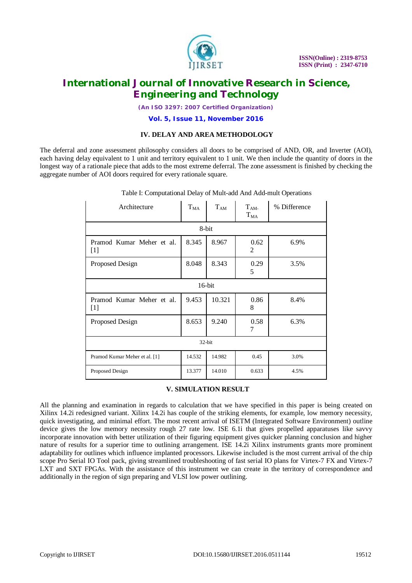

*(An ISO 3297: 2007 Certified Organization)*

**Vol. 5, Issue 11, November 2016**

#### **IV. DELAY AND AREA METHODOLOGY**

The deferral and zone assessment philosophy considers all doors to be comprised of AND, OR, and Inverter (AOI), each having delay equivalent to 1 unit and territory equivalent to 1 unit. We then include the quantity of doors in the longest way of a rationale piece that adds to the most extreme deferral. The zone assessment is finished by checking the aggregate number of AOI doors required for every rationale square.

| Architecture                       | $T_{MA}$ | $T_{AM}$ | $T_{AM}$<br>$T_{MA}$ | % Difference |  |
|------------------------------------|----------|----------|----------------------|--------------|--|
| 8-bit                              |          |          |                      |              |  |
| Pramod Kumar Meher et al.<br>$[1]$ | 8.345    | 8.967    | 0.62<br>2            | 6.9%         |  |
| Proposed Design                    | 8.048    | 8.343    | 0.29<br>5            | 3.5%         |  |
| $16$ -bit                          |          |          |                      |              |  |
| Pramod Kumar Meher et al.<br>$[1]$ | 9.453    | 10.321   | 0.86<br>8            | 8.4%         |  |
| Proposed Design                    | 8.653    | 9.240    | 0.58<br>7            | 6.3%         |  |
| 32-bit                             |          |          |                      |              |  |
| Pramod Kumar Meher et al. [1]      | 14.532   | 14.982   | 0.45                 | 3.0%         |  |
| Proposed Design                    | 13.377   | 14.010   | 0.633                | 4.5%         |  |

#### Table I: Computational Delay of Mult-add And Add-mult Operations

#### **V. SIMULATION RESULT**

All the planning and examination in regards to calculation that we have specified in this paper is being created on Xilinx 14.2i redesigned variant. Xilinx 14.2i has couple of the striking elements, for example, low memory necessity, quick investigating, and minimal effort. The most recent arrival of ISETM (Integrated Software Environment) outline device gives the low memory necessity rough 27 rate low. ISE 6.1i that gives propelled apparatuses like savvy incorporate innovation with better utilization of their figuring equipment gives quicker planning conclusion and higher nature of results for a superior time to outlining arrangement. ISE 14.2i Xilinx instruments grants more prominent adaptability for outlines which influence implanted processors. Likewise included is the most current arrival of the chip scope Pro Serial IO Tool pack, giving streamlined troubleshooting of fast serial IO plans for Virtex-7 FX and Virtex-7 LXT and SXT FPGAs. With the assistance of this instrument we can create in the territory of correspondence and additionally in the region of sign preparing and VLSI low power outlining.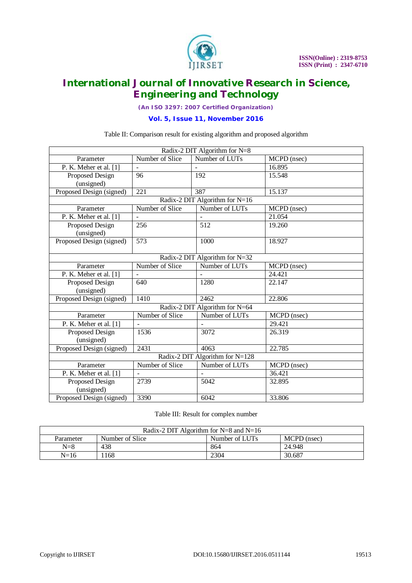

*(An ISO 3297: 2007 Certified Organization)*

**Vol. 5, Issue 11, November 2016**

#### Table II: Comparison result for existing algorithm and proposed algorithm

| Radix-2 DIT Algorithm for N=8   |                          |                |             |  |  |  |  |
|---------------------------------|--------------------------|----------------|-------------|--|--|--|--|
| Parameter                       | Number of Slice          | Number of LUTs | MCPD (nsec) |  |  |  |  |
| P. K. Meher et al. $[1]$        | $\overline{\phantom{a}}$ |                | 16.895      |  |  |  |  |
| Proposed Design                 | 96                       | 192            | 15.548      |  |  |  |  |
| (unsigned)                      |                          |                |             |  |  |  |  |
| Proposed Design (signed)        | 221                      | 387            | 15.137      |  |  |  |  |
| Radix-2 DIT Algorithm for N=16  |                          |                |             |  |  |  |  |
| Parameter                       | Number of Slice          | Number of LUTs | MCPD (nsec) |  |  |  |  |
| P. K. Meher et al. [1]          |                          |                | 21.054      |  |  |  |  |
| Proposed Design                 | 256                      | 512            | 19.260      |  |  |  |  |
| (unsigned)                      |                          |                |             |  |  |  |  |
| Proposed Design (signed)        | 573                      | 1000           | 18.927      |  |  |  |  |
|                                 |                          |                |             |  |  |  |  |
| Radix-2 DIT Algorithm for N=32  |                          |                |             |  |  |  |  |
| Parameter                       | Number of Slice          | Number of LUTs | MCPD (nsec) |  |  |  |  |
| P. K. Meher et al. $[1]$        |                          |                | 24.421      |  |  |  |  |
| <b>Proposed Design</b>          | $\overline{640}$         | 1280           | 22.147      |  |  |  |  |
| (unsigned)                      |                          |                |             |  |  |  |  |
| Proposed Design (signed)        | 1410                     | 2462           | 22.806      |  |  |  |  |
| Radix-2 DIT Algorithm for N=64  |                          |                |             |  |  |  |  |
| Parameter                       | Number of Slice          | Number of LUTs | MCPD (nsec) |  |  |  |  |
| P. K. Meher et al. $[1]$        |                          |                | 29.421      |  |  |  |  |
| Proposed Design                 | 1536                     | 3072           | 26.319      |  |  |  |  |
| (unsigned)                      |                          |                |             |  |  |  |  |
| Proposed Design (signed)        | 2431                     | 4063           | 22.785      |  |  |  |  |
| Radix-2 DIT Algorithm for N=128 |                          |                |             |  |  |  |  |
| Parameter                       | Number of Slice          | Number of LUTs | MCPD (nsec) |  |  |  |  |
| P. K. Meher et al. $[1]$        |                          |                | 36.421      |  |  |  |  |
| Proposed Design                 | 2739                     | 5042           | 32.895      |  |  |  |  |
| (unsigned)                      |                          |                |             |  |  |  |  |
| Proposed Design (signed)        | 3390                     | 6042           | 33.806      |  |  |  |  |

#### Table III: Result for complex number

| Radix-2 DIT Algorithm for $N=8$ and $N=16$ |                 |                |             |  |  |
|--------------------------------------------|-----------------|----------------|-------------|--|--|
| Parameter                                  | Number of Slice | Number of LUTs | MCPD (nsec) |  |  |
| $N = 8$                                    | 438             | 864            | 24.948      |  |  |
| N=16                                       | 168             | 2304           | 30.687      |  |  |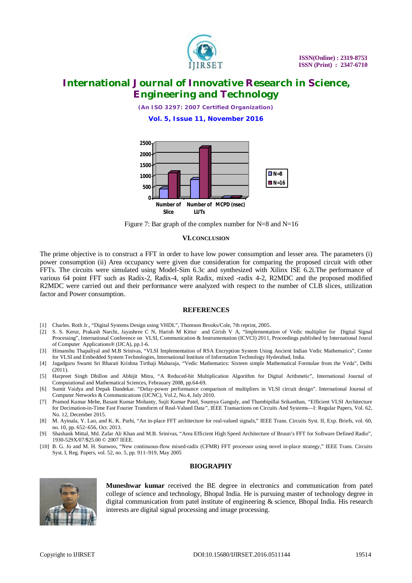

*(An ISO 3297: 2007 Certified Organization)* **Vol. 5, Issue 11, November 2016**



Figure 7: Bar graph of the complex number for  $N=8$  and  $N=16$ 

#### **VI.CONCLUSION**

The prime objective is to construct a FFT in order to have low power consumption and lesser area. The parameters (i) power consumption (ii) Area occupancy were given due consideration for comparing the proposed circuit with other FFTs. The circuits were simulated using Model-Sim 6.3c and synthesized with Xilinx ISE 6.2i.The performance of various 64 point FFT such as Radix-2, Radix-4, split Radix, mixed -radix 4-2, R2MDC and the proposed modified R2MDC were carried out and their performance were analyzed with respect to the number of CLB slices, utilization factor and Power consumption.

#### **REFERENCES**

- [1] Charles. Roth Jr., "Digital Systems Design using VHDL", Thomson Brooks/Cole, 7th reprint, 2005.
- [2] S. S. Kerur, Prakash Narchi, Jayashree C N, Harish M Kittur and Girish V A, "Implementation of Vedic multiplier for Digital Signal Processing", International Conference on VLSI, Communication & Instrumentation (ICVCI) 2011, Proceedings published by International Joural of Computer Applications® (IJCA), pp.1-6.
- [3] Himanshu Thapaliyal and M.B Srinivas, "VLSI Implementation of RSA Encryption System Using Ancient Indian Vedic Mathematics", Center for VLSI and Embedded System Technologies, International Institute of Information Technology Hyderabad, India.
- [4] Jagadguru Swami Sri Bharati Krishna Tirthaji Maharaja, "Vedic Mathematics: Sixteen simple Mathematical Formulae from the Veda", Delhi  $(2011)$
- [5] Harpreet Singh Dhillon and Abhijit Mitra, "A Reduced-bit Multiplication Algorithm for Digital Arithmetic", International Journal of Computational and Mathematical Sciences, Febrauary 2008, pp.64-69.
- [6] Sumit Vaidya and Depak Dandekar. "Delay-power performance comparison of multipliers in VLSI circuit design". International Journal of Computer Networks & Communications (IJCNC), Vol.2, No.4, July 2010.
- [7] Pramod Kumar Mehe*,* Basant Kumar Mohanty*,* Sujit Kumar Patel, Soumya Ganguly, and Thambipillai Srikanthan*, "*Efficient VLSI Architecture for Decimation-in-Time Fast Fourier Transform of Real-Valued Data*",* IEEE Transactions on Circuits And Systems—I: Regular Papers, Vol. 62, No. 12, December 2015.
- [8] M. Ayinala, Y. Lao, and K. K. Parhi, "An in-place FFT architecture for real-valued signals," IEEE Trans. Circuits Syst. II, Exp. Briefs, vol. 60, no. 10, pp. 652–656, Oct. 2013.
- [9] Shashank Mittal, Md. Zafar Ali Khan and M.B. Srinivas, "Area Efficient High Speed Architecture of Bruun's FFT for Software Defined Radio", 1930-529X/07/\$25.00 © 2007 IEEE.
- [10] B. G. Jo and M. H. Sunwoo, "New continuous-flow mixed-radix (CFMR) FFT processor using novel in-place strategy," IEEE Trans. Circuits Syst. I, Reg. Papers, vol. 52, no. 5, pp. 911–919, May 2005

#### **BIOGRAPHY**



**Muneshwar kumar** received the BE degree in electronics and communication from patel college of science and technology, Bhopal India. He is pursuing master of technology degree in digital communication from patel institute of engineering & science, Bhopal India. His research interests are digital signal processing and image processing.